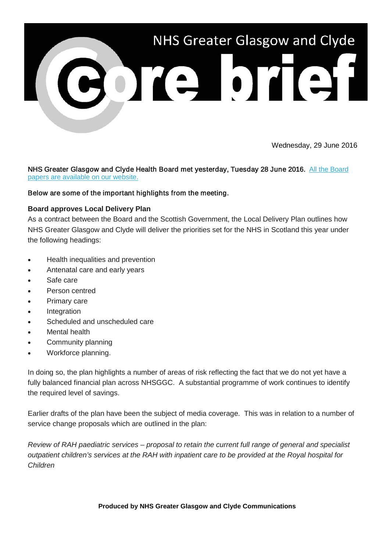

Wednesday, 29 June 2016

NHS Greater Glasgow and Clyde Health Board met yesterday, Tuesday 28 June 2016. All the Board [papers are available on our website.](http://nhsggc.us12.list-manage.com/track/click?u=0f385b5aea37eaf0213bd19fb&id=7d87cc94f6&e=5af5e1832c)

# Below are some of the important highlights from the meeting.

# **Board approves Local Delivery Plan**

As a contract between the Board and the Scottish Government, the Local Delivery Plan outlines how NHS Greater Glasgow and Clyde will deliver the priorities set for the NHS in Scotland this year under the following headings:

- Health inequalities and prevention
- Antenatal care and early years
- Safe care
- Person centred
- Primary care
- Integration
- Scheduled and unscheduled care
- Mental health
- Community planning
- Workforce planning.

In doing so, the plan highlights a number of areas of risk reflecting the fact that we do not yet have a fully balanced financial plan across NHSGGC. A substantial programme of work continues to identify the required level of savings.

Earlier drafts of the plan have been the subject of media coverage. This was in relation to a number of service change proposals which are outlined in the plan:

*Review of RAH paediatric services – proposal to retain the current full range of general and specialist outpatient children's services at the RAH with inpatient care to be provided at the Royal hospital for Children*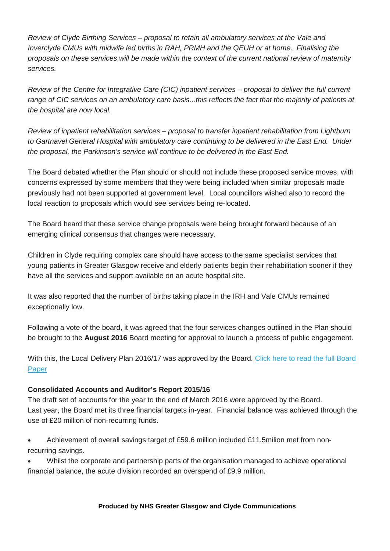*Review of Clyde Birthing Services – proposal to retain all ambulatory services at the Vale and Inverclyde CMUs with midwife led births in RAH, PRMH and the QEUH or at home. Finalising the proposals on these services will be made within the context of the current national review of maternity services.* 

*Review of the Centre for Integrative Care (CIC) inpatient services – proposal to deliver the full current range of CIC services on an ambulatory care basis...this reflects the fact that the majority of patients at the hospital are now local.*

*Review of inpatient rehabilitation services – proposal to transfer inpatient rehabilitation from Lightburn to Gartnavel General Hospital with ambulatory care continuing to be delivered in the East End. Under the proposal, the Parkinson's service will continue to be delivered in the East End.* 

The Board debated whether the Plan should or should not include these proposed service moves, with concerns expressed by some members that they were being included when similar proposals made previously had not been supported at government level. Local councillors wished also to record the local reaction to proposals which would see services being re-located.

The Board heard that these service change proposals were being brought forward because of an emerging clinical consensus that changes were necessary.

Children in Clyde requiring complex care should have access to the same specialist services that young patients in Greater Glasgow receive and elderly patients begin their rehabilitation sooner if they have all the services and support available on an acute hospital site.

It was also reported that the number of births taking place in the IRH and Vale CMUs remained exceptionally low.

Following a vote of the board, it was agreed that the four services changes outlined in the Plan should be brought to the **August 2016** Board meeting for approval to launch a process of public engagement.

With this, the Local Delivery Plan 2016/17 was approved by the Board. Click here to read the full Board [Paper](http://nhsggc.us12.list-manage2.com/track/click?u=0f385b5aea37eaf0213bd19fb&id=04b729b5d1&e=5af5e1832c)

# **Consolidated Accounts and Auditor's Report 2015/16**

The draft set of accounts for the year to the end of March 2016 were approved by the Board. Last year, the Board met its three financial targets in-year. Financial balance was achieved through the use of £20 million of non-recurring funds.

• Achievement of overall savings target of £59.6 million included £11.5milion met from nonrecurring savings.

• Whilst the corporate and partnership parts of the organisation managed to achieve operational financial balance, the acute division recorded an overspend of £9.9 million.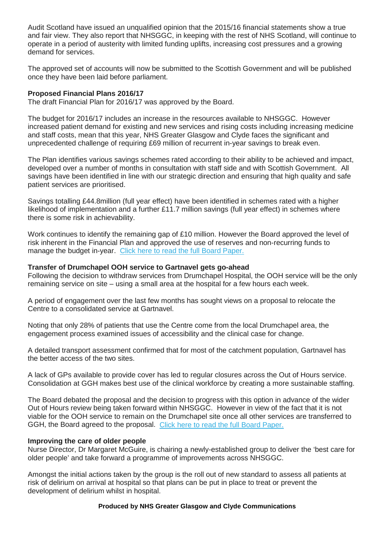Audit Scotland have issued an unqualified opinion that the 2015/16 financial statements show a true and fair view. They also report that NHSGGC, in keeping with the rest of NHS Scotland, will continue to operate in a period of austerity with limited funding uplifts, increasing cost pressures and a growing demand for services.

The approved set of accounts will now be submitted to the Scottish Government and will be published once they have been laid before parliament.

## **Proposed Financial Plans 2016/17**

The draft Financial Plan for 2016/17 was approved by the Board.

The budget for 2016/17 includes an increase in the resources available to NHSGGC. However increased patient demand for existing and new services and rising costs including increasing medicine and staff costs, mean that this year, NHS Greater Glasgow and Clyde faces the significant and unprecedented challenge of requiring £69 million of recurrent in-year savings to break even.

The Plan identifies various savings schemes rated according to their ability to be achieved and impact, developed over a number of months in consultation with staff side and with Scottish Government. All savings have been identified in line with our strategic direction and ensuring that high quality and safe patient services are prioritised.

Savings totalling £44.8million (full year effect) have been identified in schemes rated with a higher likelihood of implementation and a further £11.7 million savings (full year effect) in schemes where there is some risk in achievability.

Work continues to identify the remaining gap of £10 million. However the Board approved the level of risk inherent in the Financial Plan and approved the use of reserves and non-recurring funds to manage the budget in-year. [Click here to read the full Board Paper.](http://nhsggc.us12.list-manage.com/track/click?u=0f385b5aea37eaf0213bd19fb&id=3396a6a469&e=5af5e1832c)

### **Transfer of Drumchapel OOH service to Gartnavel gets go-ahead**

Following the decision to withdraw services from Drumchapel Hospital, the OOH service will be the only remaining service on site – using a small area at the hospital for a few hours each week.

A period of engagement over the last few months has sought views on a proposal to relocate the Centre to a consolidated service at Gartnavel.

Noting that only 28% of patients that use the Centre come from the local Drumchapel area, the engagement process examined issues of accessibility and the clinical case for change.

A detailed transport assessment confirmed that for most of the catchment population, Gartnavel has the better access of the two sites.

A lack of GPs available to provide cover has led to regular closures across the Out of Hours service. Consolidation at GGH makes best use of the clinical workforce by creating a more sustainable staffing.

The Board debated the proposal and the decision to progress with this option in advance of the wider Out of Hours review being taken forward within NHSGGC. However in view of the fact that it is not viable for the OOH service to remain on the Drumchapel site once all other services are transferred to GGH, the Board agreed to the proposal. [Click here to read the full Board Paper.](http://nhsggc.us12.list-manage1.com/track/click?u=0f385b5aea37eaf0213bd19fb&id=d1300b9e5a&e=5af5e1832c)

#### **Improving the care of older people**

Nurse Director, Dr Margaret McGuire, is chairing a newly-established group to deliver the 'best care for older people' and take forward a programme of improvements across NHSGGC.

Amongst the initial actions taken by the group is the roll out of new standard to assess all patients at risk of delirium on arrival at hospital so that plans can be put in place to treat or prevent the development of delirium whilst in hospital.

#### **Produced by NHS Greater Glasgow and Clyde Communications**